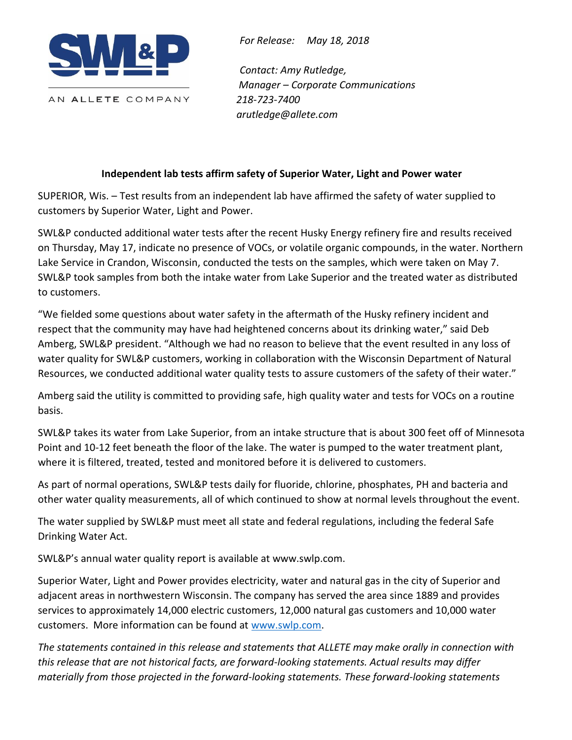

*For Release: May 18, 2018*

*Contact: Amy Rutledge, Manager – Corporate Communications 218-723-7400 arutledge@allete.com*

## **Independent lab tests affirm safety of Superior Water, Light and Power water**

SUPERIOR, Wis. – Test results from an independent lab have affirmed the safety of water supplied to customers by Superior Water, Light and Power.

SWL&P conducted additional water tests after the recent Husky Energy refinery fire and results received on Thursday, May 17, indicate no presence of VOCs, or volatile organic compounds, in the water. Northern Lake Service in Crandon, Wisconsin, conducted the tests on the samples, which were taken on May 7. SWL&P took samples from both the intake water from Lake Superior and the treated water as distributed to customers.

"We fielded some questions about water safety in the aftermath of the Husky refinery incident and respect that the community may have had heightened concerns about its drinking water," said Deb Amberg, SWL&P president. "Although we had no reason to believe that the event resulted in any loss of water quality for SWL&P customers, working in collaboration with the Wisconsin Department of Natural Resources, we conducted additional water quality tests to assure customers of the safety of their water."

Amberg said the utility is committed to providing safe, high quality water and tests for VOCs on a routine basis.

SWL&P takes its water from Lake Superior, from an intake structure that is about 300 feet off of Minnesota Point and 10-12 feet beneath the floor of the lake. The water is pumped to the water treatment plant, where it is filtered, treated, tested and monitored before it is delivered to customers.

As part of normal operations, SWL&P tests daily for fluoride, chlorine, phosphates, PH and bacteria and other water quality measurements, all of which continued to show at normal levels throughout the event.

The water supplied by SWL&P must meet all state and federal regulations, including the federal Safe Drinking Water Act.

SWL&P's annual water quality report is available at www.swlp.com.

Superior Water, Light and Power provides electricity, water and natural gas in the city of Superior and adjacent areas in northwestern Wisconsin. The company has served the area since 1889 and provides services to approximately 14,000 electric customers, 12,000 natural gas customers and 10,000 water customers. More information can be found at [www.swlp.com.](http://www.swlp.com/)

*The statements contained in this release and statements that ALLETE may make orally in connection with this release that are not historical facts, are forward-looking statements. Actual results may differ materially from those projected in the forward-looking statements. These forward-looking statements*